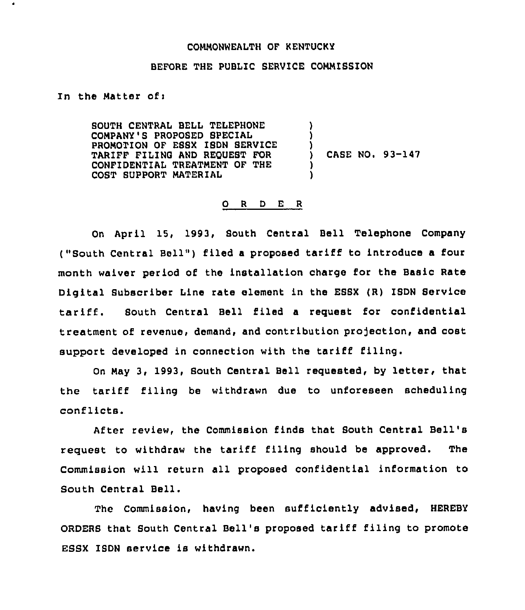## COMMONWEALTH OF KENTUCKY

## BEFORE THE PUBLIC SERVICE COMMISSION

In the Matter ofi

SOUTH CENTRAL BELL TELEPHONE COMPANY'S PROPOSED SPECIAL PROMOTION OF EBSX ISDN SERVICE TARIFF FILING AND REQUEST FOR CONFIDENTIAL TREATMENT OF THE COST SUPPORT MATERIAL ) ) ) CASE NO. 93-147 ) )

## 0 <sup>R</sup> <sup>D</sup> <sup>E</sup> <sup>R</sup>

On April 15, 1993, South Central Bell Telephone Company ("South Central Bell") filed a proposed tariff to introduce a four month waiver period of the installation charge for the Basic Rate Digital Subscriber Line rate element in the ESSX (R) ISDN Service tariff. Bouth Central Bell filed <sup>a</sup> request for confidential treatment of revenue, demand, and contribution projection, and cost support developed in connection with the tariff filing.

On May 3, 1993, South Central Bell requested, by letter, that the tariff filing be withdrawn due to unforeseen scheduling conflicts.

After review, the Commission finds that South Central Bell's request to withdraw the tariff filing should be approved. The Commission will return all proposed confidential information to South Central Bell.

The Commission, having been sufficiently advised, HEREBY ORDERS that South Central Bell's proposed tariff filing to promote ESSX ISDN service is withdrawn.